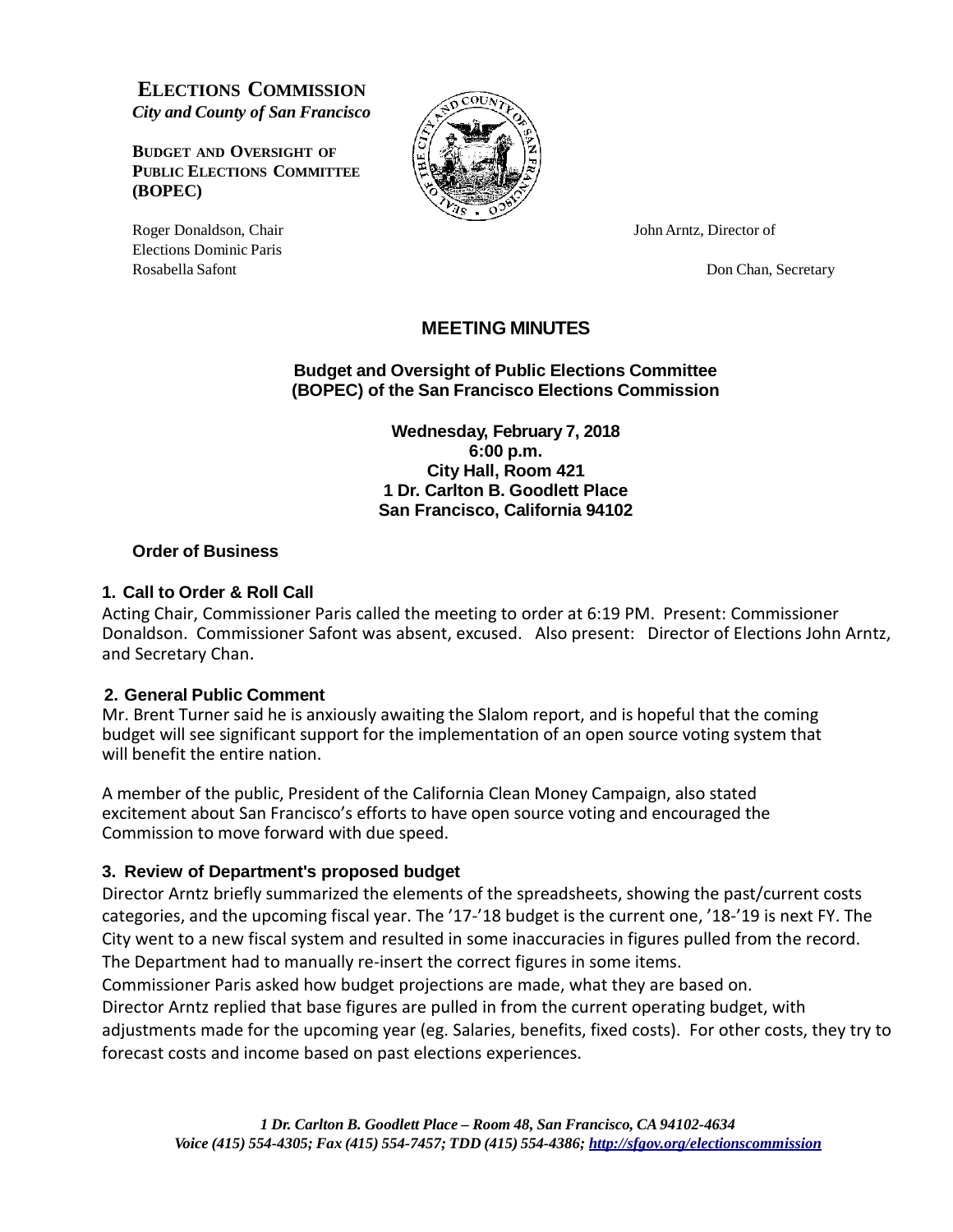**ELECTIONS COMMISSION** *City and County of San Francisco*

**BUDGET AND OVERSIGHT OF PUBLIC ELECTIONS COMMITTEE (BOPEC)**



Roger Donaldson, Chair John Arntz, Director of Elections Dominic Paris Rosabella Safont **Don Chan, Secretary Don Chan, Secretary** 

# **MEETING MINUTES**

**Budget and Oversight of Public Elections Committee (BOPEC) of the San Francisco Elections Commission**

> **Wednesday, February 7, 2018 6:00 p.m. City Hall, Room 421 1 Dr. Carlton B. Goodlett Place San Francisco, California 94102**

### **Order of Business**

### **1. Call to Order & Roll Call**

Acting Chair, Commissioner Paris called the meeting to order at 6:19 PM. Present: Commissioner Donaldson. Commissioner Safont was absent, excused. Also present: Director of Elections John Arntz, and Secretary Chan.

#### **2. General Public Comment**

Mr. Brent Turner said he is anxiously awaiting the Slalom report, and is hopeful that the coming budget will see significant support for the implementation of an open source voting system that will benefit the entire nation.

A member of the public, President of the California Clean Money Campaign, also stated excitement about San Francisco's efforts to have open source voting and encouraged the Commission to move forward with due speed.

# **3. Review of Department's proposed budget**

Director Arntz briefly summarized the elements of the spreadsheets, showing the past/current costs categories, and the upcoming fiscal year. The '17-'18 budget is the current one, '18-'19 is next FY. The City went to a new fiscal system and resulted in some inaccuracies in figures pulled from the record. The Department had to manually re-insert the correct figures in some items.

Commissioner Paris asked how budget projections are made, what they are based on.

Director Arntz replied that base figures are pulled in from the current operating budget, with adjustments made for the upcoming year (eg. Salaries, benefits, fixed costs). For other costs, they try to forecast costs and income based on past elections experiences.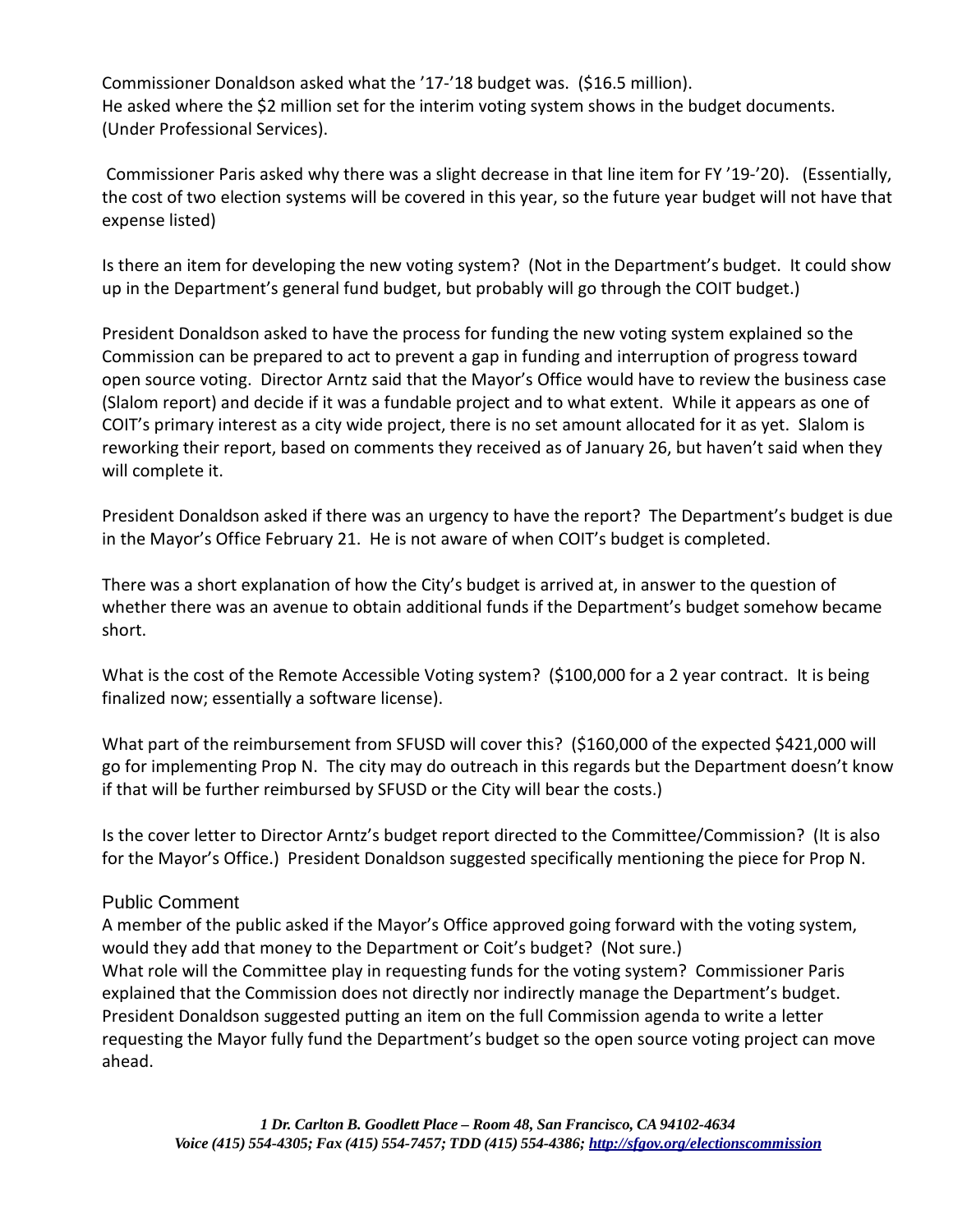Commissioner Donaldson asked what the '17-'18 budget was. (\$16.5 million). He asked where the \$2 million set for the interim voting system shows in the budget documents. (Under Professional Services).

Commissioner Paris asked why there was a slight decrease in that line item for FY '19-'20). (Essentially, the cost of two election systems will be covered in this year, so the future year budget will not have that expense listed)

Is there an item for developing the new voting system? (Not in the Department's budget. It could show up in the Department's general fund budget, but probably will go through the COIT budget.)

President Donaldson asked to have the process for funding the new voting system explained so the Commission can be prepared to act to prevent a gap in funding and interruption of progress toward open source voting. Director Arntz said that the Mayor's Office would have to review the business case (Slalom report) and decide if it was a fundable project and to what extent. While it appears as one of COIT's primary interest as a city wide project, there is no set amount allocated for it as yet. Slalom is reworking their report, based on comments they received as of January 26, but haven't said when they will complete it.

President Donaldson asked if there was an urgency to have the report? The Department's budget is due in the Mayor's Office February 21. He is not aware of when COIT's budget is completed.

There was a short explanation of how the City's budget is arrived at, in answer to the question of whether there was an avenue to obtain additional funds if the Department's budget somehow became short.

What is the cost of the Remote Accessible Voting system? (\$100,000 for a 2 year contract. It is being finalized now; essentially a software license).

What part of the reimbursement from SFUSD will cover this? (\$160,000 of the expected \$421,000 will go for implementing Prop N. The city may do outreach in this regards but the Department doesn't know if that will be further reimbursed by SFUSD or the City will bear the costs.)

Is the cover letter to Director Arntz's budget report directed to the Committee/Commission? (It is also for the Mayor's Office.) President Donaldson suggested specifically mentioning the piece for Prop N.

# Public Comment

A member of the public asked if the Mayor's Office approved going forward with the voting system, would they add that money to the Department or Coit's budget? (Not sure.) What role will the Committee play in requesting funds for the voting system? Commissioner Paris explained that the Commission does not directly nor indirectly manage the Department's budget. President Donaldson suggested putting an item on the full Commission agenda to write a letter requesting the Mayor fully fund the Department's budget so the open source voting project can move ahead.

*1 Dr. Carlton B. Goodlett Place – Room 48, San Francisco, CA94102-4634 Voice (415) 554-4305; Fax (415) 554-7457; TDD (415) 554-4386; <http://sfgov.org/electionscommission>*